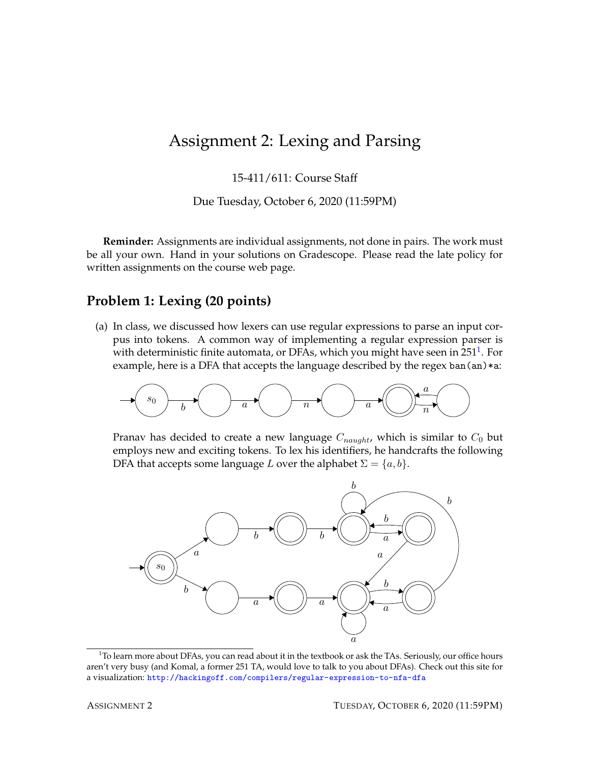## Assignment 2: Lexing and Parsing

15-411/611: Course Staff

Due Tuesday, October 6, 2020 (11:59PM)

**Reminder:** Assignments are individual assignments, not done in pairs. The work must be all your own. Hand in your solutions on Gradescope. Please read the late policy for written assignments on the course web page.

## **Problem 1: Lexing (20 points)**

(a) In class, we discussed how lexers can use regular expressions to parse an input corpus into tokens. A common way of implementing a regular expression parser is with deterministic finite automata, or DFAs, which you might have seen in 25[1](#page-0-0) $^{\rm 1}$ . For example, here is a DFA that accepts the language described by the regex ban $(an)*a$ :



Pranav has decided to create a new language  $C_{naught}$ , which is similar to  $C_0$  but employs new and exciting tokens. To lex his identifiers, he handcrafts the following DFA that accepts some language L over the alphabet  $\Sigma = \{a, b\}$ .



<span id="page-0-0"></span><sup>&</sup>lt;sup>1</sup>To learn more about DFAs, you can read about it in the textbook or ask the TAs. Seriously, our office hours aren't very busy (and Komal, a former 251 TA, would love to talk to you about DFAs). Check out this site for a visualization: <http://hackingoff.com/compilers/regular-expression-to-nfa-dfa>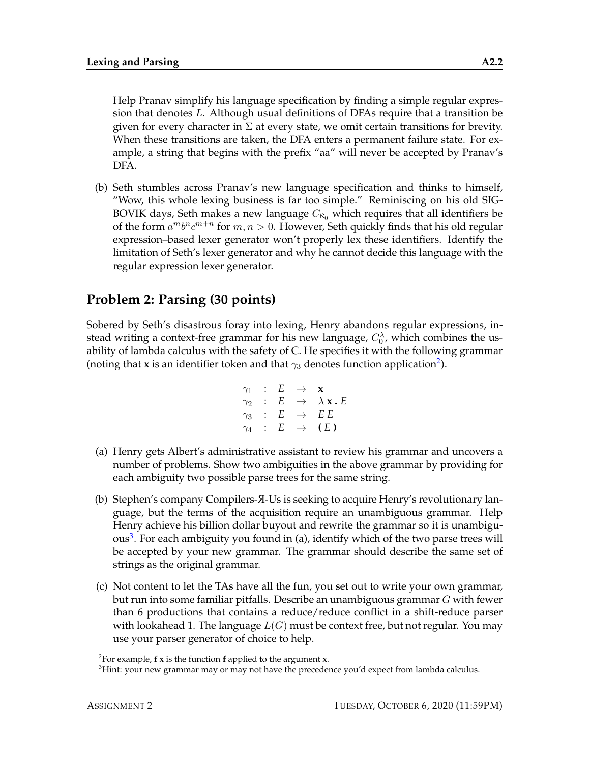Help Pranav simplify his language specification by finding a simple regular expression that denotes L. Although usual definitions of DFAs require that a transition be given for every character in  $\Sigma$  at every state, we omit certain transitions for brevity. When these transitions are taken, the DFA enters a permanent failure state. For example, a string that begins with the prefix "aa" will never be accepted by Pranav's DFA.

(b) Seth stumbles across Pranav's new language specification and thinks to himself, "Wow, this whole lexing business is far too simple." Reminiscing on his old SIG-BOVIK days, Seth makes a new language  $C_{\aleph_0}$  which requires that all identifiers be of the form  $a^m b^n c^{m+n}$  for  $m, n > 0$ . However, Seth quickly finds that his old regular expression–based lexer generator won't properly lex these identifiers. Identify the limitation of Seth's lexer generator and why he cannot decide this language with the regular expression lexer generator.

## **Problem 2: Parsing (30 points)**

Sobered by Seth's disastrous foray into lexing, Henry abandons regular expressions, instead writing a context-free grammar for his new language,  $C_0^{\lambda}$ , which combines the usability of lambda calculus with the safety of C. He specifies it with the following grammar (noting that **x** is an identifier token and that  $\gamma_3$  denotes function application<sup>[2](#page-1-0)</sup>).

$$
\begin{array}{rcl}\n\gamma_1 & : & E & \rightarrow & \mathbf{x} \\
\gamma_2 & : & E & \rightarrow & \lambda \mathbf{x} \cdot E \\
\gamma_3 & : & E & \rightarrow & E \cdot E \\
\gamma_4 & : & E & \rightarrow & (E)\n\end{array}
$$

- (a) Henry gets Albert's administrative assistant to review his grammar and uncovers a number of problems. Show two ambiguities in the above grammar by providing for each ambiguity two possible parse trees for the same string.
- (b) Stephen's company Compilers- <sup>R</sup>-Us is seeking to acquire Henry's revolutionary language, but the terms of the acquisition require an unambiguous grammar. Help Henry achieve his billion dollar buyout and rewrite the grammar so it is unambigu-ous<sup>[3](#page-1-1)</sup>. For each ambiguity you found in (a), identify which of the two parse trees will be accepted by your new grammar. The grammar should describe the same set of strings as the original grammar.
- (c) Not content to let the TAs have all the fun, you set out to write your own grammar, but run into some familiar pitfalls. Describe an unambiguous grammar G with fewer than 6 productions that contains a reduce/reduce conflict in a shift-reduce parser with lookahead 1. The language  $L(G)$  must be context free, but not regular. You may use your parser generator of choice to help.

<span id="page-1-0"></span><sup>2</sup> For example, **f x** is the function **f** applied to the argument **x**.

<span id="page-1-1"></span><sup>&</sup>lt;sup>3</sup>Hint: your new grammar may or may not have the precedence you'd expect from lambda calculus.